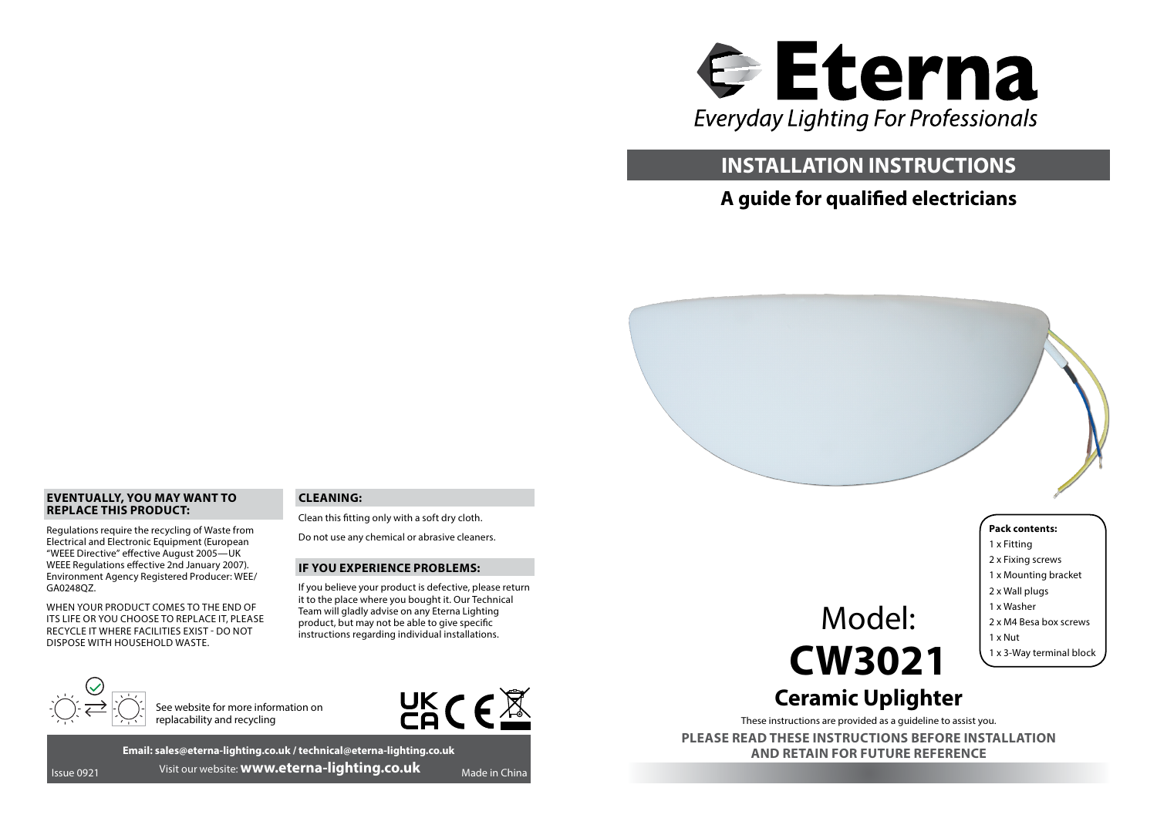

# **INSTALLATION INSTRUCTIONS**

# **A guide for qualified electricians**



### **EVENTUALLY, YOU MAY WANT TO REPLACE THIS PRODUCT:**

Regulations require the recycling of Waste from Electrical and Electronic Equipment (European "WEEE Directive" effective August 2005—UK WEEE Regulations effective 2nd January 2007). Environment Agency Registered Producer: WEE/ GA0248QZ.

WHEN YOUR PRODUCT COMES TO THE END OF ITS LIFE OR YOU CHOOSE TO REPLACE IT, PLEASE RECYCLE IT WHERE FACILITIES EXIST - DO NOT DISPOSE WITH HOUSEHOLD WASTE.

# **CLEANING:**

Clean this fitting only with a soft dry cloth.

Do not use any chemical or abrasive cleaners.

#### **IF YOU EXPERIENCE PROBLEMS:**

If you believe your product is defective, please return it to the place where you bought it. Our Technical Team will gladly advise on any Eterna Lighting product, but may not be able to give specific instructions regarding individual installations.



See website for more information on replacability and recycling



**Email: sales@eterna-lighting.co.uk / technical@eterna-lighting.co.uk Issue 0921** Visit our website: **www.eterna-lighting.co.uk** Made in China

Model: **CW3021** **Pack contents:** 1 x Fitting 2 x Fixing screws 1 x Mounting bracket 2 x Wall plugs 1 x Washer 2 x M4 Besa box screws 1 x Nut 1 x 3-Way terminal block

# **Ceramic Uplighter**

These instructions are provided as a guideline to assist you.

**PLEASE READ THESE INSTRUCTIONS BEFORE INSTALLATION AND RETAIN FOR FUTURE REFERENCE**